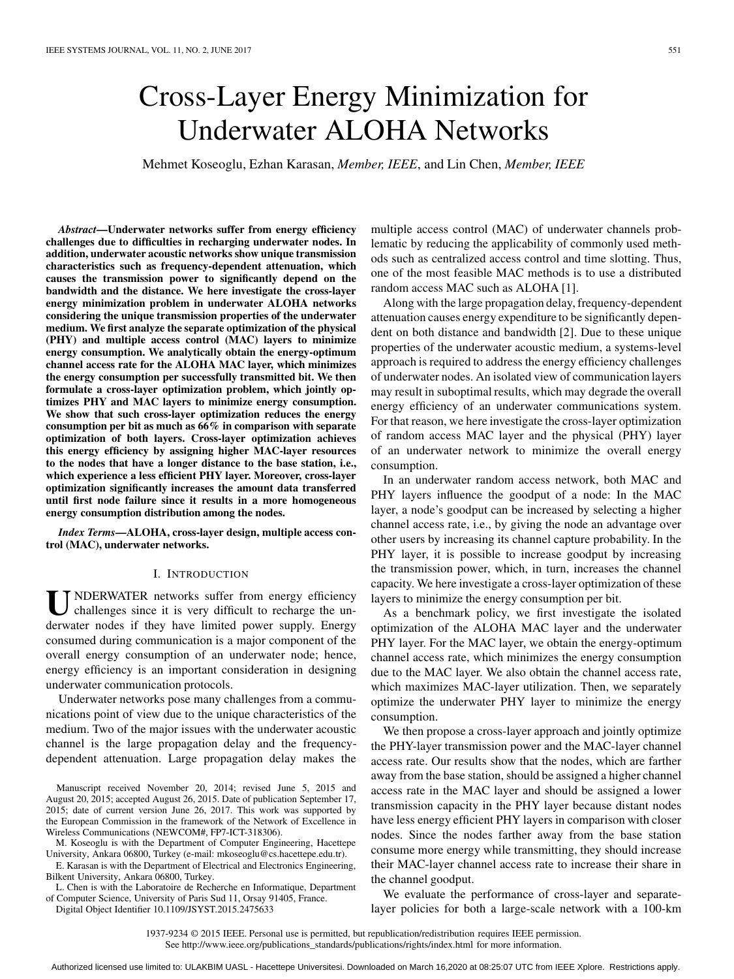# Cross-Layer Energy Minimization for Underwater ALOHA Networks

Mehmet Koseoglu, Ezhan Karasan, *Member, IEEE*, and Lin Chen, *Member, IEEE*

*Abstract***—Underwater networks suffer from energy efficiency challenges due to difficulties in recharging underwater nodes. In addition, underwater acoustic networks show unique transmission characteristics such as frequency-dependent attenuation, which causes the transmission power to significantly depend on the bandwidth and the distance. We here investigate the cross-layer energy minimization problem in underwater ALOHA networks considering the unique transmission properties of the underwater medium. We first analyze the separate optimization of the physical (PHY) and multiple access control (MAC) layers to minimize energy consumption. We analytically obtain the energy-optimum channel access rate for the ALOHA MAC layer, which minimizes the energy consumption per successfully transmitted bit. We then formulate a cross-layer optimization problem, which jointly optimizes PHY and MAC layers to minimize energy consumption. We show that such cross-layer optimization reduces the energy consumption per bit as much as 66% in comparison with separate optimization of both layers. Cross-layer optimization achieves this energy efficiency by assigning higher MAC-layer resources to the nodes that have a longer distance to the base station, i.e., which experience a less efficient PHY layer. Moreover, cross-layer optimization significantly increases the amount data transferred until first node failure since it results in a more homogeneous energy consumption distribution among the nodes.**

*Index Terms***—ALOHA, cross-layer design, multiple access control (MAC), underwater networks.**

#### I. INTRODUCTION

U NDERWATER networks suffer from energy efficiency challenges since it is very difficult to recharge the underwater nodes if they have limited power supply. Energy consumed during communication is a major component of the overall energy consumption of an underwater node; hence, energy efficiency is an important consideration in designing underwater communication protocols.

Underwater networks pose many challenges from a communications point of view due to the unique characteristics of the medium. Two of the major issues with the underwater acoustic channel is the large propagation delay and the frequencydependent attenuation. Large propagation delay makes the

Manuscript received November 20, 2014; revised June 5, 2015 and August 20, 2015; accepted August 26, 2015. Date of publication September 17, 2015; date of current version June 26, 2017. This work was supported by the European Commission in the framework of the Network of Excellence in Wireless Communications (NEWCOM#, FP7-ICT-318306).

M. Koseoglu is with the Department of Computer Engineering, Hacettepe University, Ankara 06800, Turkey (e-mail: mkoseoglu@cs.hacettepe.edu.tr).

E. Karasan is with the Department of Electrical and Electronics Engineering, Bilkent University, Ankara 06800, Turkey.

L. Chen is with the Laboratoire de Recherche en Informatique, Department of Computer Science, University of Paris Sud 11, Orsay 91405, France.

Digital Object Identifier 10.1109/JSYST.2015.2475633

multiple access control (MAC) of underwater channels problematic by reducing the applicability of commonly used methods such as centralized access control and time slotting. Thus, one of the most feasible MAC methods is to use a distributed random access MAC such as ALOHA [1].

Along with the large propagation delay, frequency-dependent attenuation causes energy expenditure to be significantly dependent on both distance and bandwidth [2]. Due to these unique properties of the underwater acoustic medium, a systems-level approach is required to address the energy efficiency challenges of underwater nodes. An isolated view of communication layers may result in suboptimal results, which may degrade the overall energy efficiency of an underwater communications system. For that reason, we here investigate the cross-layer optimization of random access MAC layer and the physical (PHY) layer of an underwater network to minimize the overall energy consumption.

In an underwater random access network, both MAC and PHY layers influence the goodput of a node: In the MAC layer, a node's goodput can be increased by selecting a higher channel access rate, i.e., by giving the node an advantage over other users by increasing its channel capture probability. In the PHY layer, it is possible to increase goodput by increasing the transmission power, which, in turn, increases the channel capacity. We here investigate a cross-layer optimization of these layers to minimize the energy consumption per bit.

As a benchmark policy, we first investigate the isolated optimization of the ALOHA MAC layer and the underwater PHY layer. For the MAC layer, we obtain the energy-optimum channel access rate, which minimizes the energy consumption due to the MAC layer. We also obtain the channel access rate, which maximizes MAC-layer utilization. Then, we separately optimize the underwater PHY layer to minimize the energy consumption.

We then propose a cross-layer approach and jointly optimize the PHY-layer transmission power and the MAC-layer channel access rate. Our results show that the nodes, which are farther away from the base station, should be assigned a higher channel access rate in the MAC layer and should be assigned a lower transmission capacity in the PHY layer because distant nodes have less energy efficient PHY layers in comparison with closer nodes. Since the nodes farther away from the base station consume more energy while transmitting, they should increase their MAC-layer channel access rate to increase their share in the channel goodput.

We evaluate the performance of cross-layer and separatelayer policies for both a large-scale network with a 100-km

1937-9234 © 2015 IEEE. Personal use is permitted, but republication/redistribution requires IEEE permission. See http://www.ieee.org/publications\_standards/publications/rights/index.html for more information.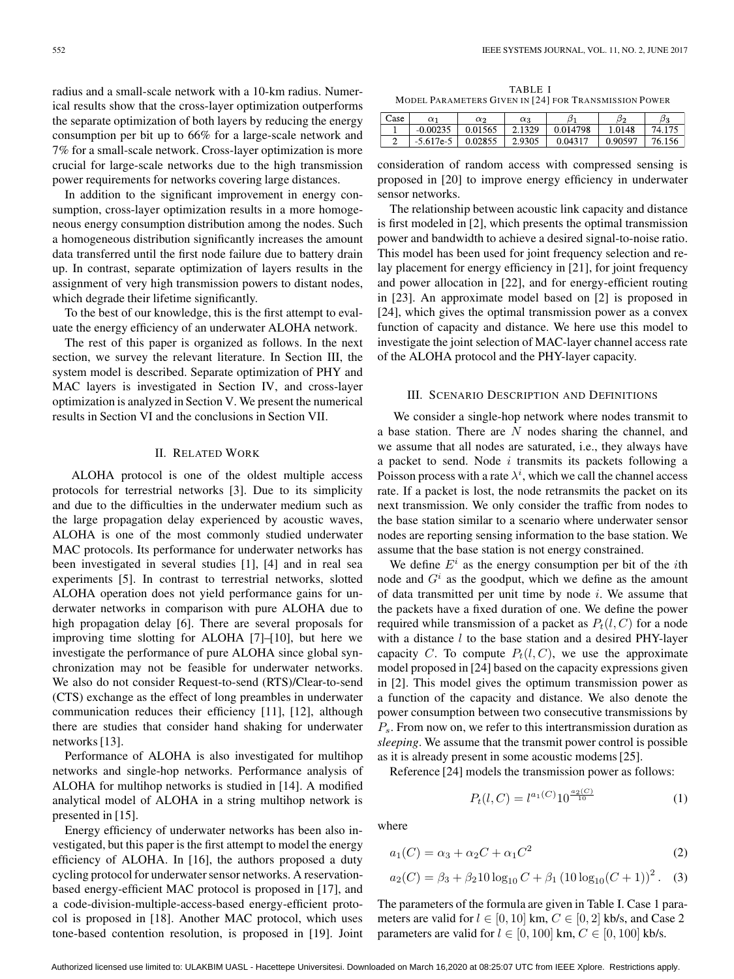radius and a small-scale network with a 10-km radius. Numerical results show that the cross-layer optimization outperforms the separate optimization of both layers by reducing the energy consumption per bit up to 66% for a large-scale network and 7% for a small-scale network. Cross-layer optimization is more crucial for large-scale networks due to the high transmission power requirements for networks covering large distances.

In addition to the significant improvement in energy consumption, cross-layer optimization results in a more homogeneous energy consumption distribution among the nodes. Such a homogeneous distribution significantly increases the amount data transferred until the first node failure due to battery drain up. In contrast, separate optimization of layers results in the assignment of very high transmission powers to distant nodes, which degrade their lifetime significantly.

To the best of our knowledge, this is the first attempt to evaluate the energy efficiency of an underwater ALOHA network.

The rest of this paper is organized as follows. In the next section, we survey the relevant literature. In Section III, the system model is described. Separate optimization of PHY and MAC layers is investigated in Section IV, and cross-layer optimization is analyzed in Section V. We present the numerical results in Section VI and the conclusions in Section VII.

#### II. RELATED WORK

ALOHA protocol is one of the oldest multiple access protocols for terrestrial networks [3]. Due to its simplicity and due to the difficulties in the underwater medium such as the large propagation delay experienced by acoustic waves, ALOHA is one of the most commonly studied underwater MAC protocols. Its performance for underwater networks has been investigated in several studies [1], [4] and in real sea experiments [5]. In contrast to terrestrial networks, slotted ALOHA operation does not yield performance gains for underwater networks in comparison with pure ALOHA due to high propagation delay [6]. There are several proposals for improving time slotting for ALOHA [7]–[10], but here we investigate the performance of pure ALOHA since global synchronization may not be feasible for underwater networks. We also do not consider Request-to-send (RTS)/Clear-to-send (CTS) exchange as the effect of long preambles in underwater communication reduces their efficiency [11], [12], although there are studies that consider hand shaking for underwater networks [13].

Performance of ALOHA is also investigated for multihop networks and single-hop networks. Performance analysis of ALOHA for multihop networks is studied in [14]. A modified analytical model of ALOHA in a string multihop network is presented in [15].

Energy efficiency of underwater networks has been also investigated, but this paper is the first attempt to model the energy efficiency of ALOHA. In [16], the authors proposed a duty cycling protocol for underwater sensor networks. A reservationbased energy-efficient MAC protocol is proposed in [17], and a code-division-multiple-access-based energy-efficient protocol is proposed in [18]. Another MAC protocol, which uses tone-based contention resolution, is proposed in [19]. Joint

TABLE I MODEL PARAMETERS GIVEN IN [24] FOR TRANSMISSION POWER

| $\text{Case}$ | $_{\alpha}$ 1    | $\alpha$ | QЗ     | υ        | Ыc      | $\beta_3$  |
|---------------|------------------|----------|--------|----------|---------|------------|
|               | $-0.00235$       | 0.01565  | 1320   | 0.014798 | .0148   | 74.175     |
|               | $.617e-5$<br>-5. | 0.02855  | 2.9305 | 0.04317  | 0.90597 | 76.<br>156 |

consideration of random access with compressed sensing is proposed in [20] to improve energy efficiency in underwater sensor networks.

The relationship between acoustic link capacity and distance is first modeled in [2], which presents the optimal transmission power and bandwidth to achieve a desired signal-to-noise ratio. This model has been used for joint frequency selection and relay placement for energy efficiency in [21], for joint frequency and power allocation in [22], and for energy-efficient routing in [23]. An approximate model based on [2] is proposed in [24], which gives the optimal transmission power as a convex function of capacity and distance. We here use this model to investigate the joint selection of MAC-layer channel access rate of the ALOHA protocol and the PHY-layer capacity.

## III. SCENARIO DESCRIPTION AND DEFINITIONS

We consider a single-hop network where nodes transmit to a base station. There are  $N$  nodes sharing the channel, and we assume that all nodes are saturated, i.e., they always have a packet to send. Node  $i$  transmits its packets following a Poisson process with a rate  $\lambda^{i}$ , which we call the channel access rate. If a packet is lost, the node retransmits the packet on its next transmission. We only consider the traffic from nodes to the base station similar to a scenario where underwater sensor nodes are reporting sensing information to the base station. We assume that the base station is not energy constrained.

We define  $E^i$  as the energy consumption per bit of the *i*th node and  $G<sup>i</sup>$  as the goodput, which we define as the amount of data transmitted per unit time by node  $i$ . We assume that the packets have a fixed duration of one. We define the power required while transmission of a packet as  $P_t(l, C)$  for a node with a distance  $l$  to the base station and a desired PHY-layer capacity C. To compute  $P_t(l, C)$ , we use the approximate model proposed in [24] based on the capacity expressions given in [2]. This model gives the optimum transmission power as a function of the capacity and distance. We also denote the power consumption between two consecutive transmissions by  $P_s$ . From now on, we refer to this intertransmission duration as *sleeping*. We assume that the transmit power control is possible as it is already present in some acoustic modems [25].

Reference [24] models the transmission power as follows:

$$
P_t(l, C) = l^{a_1(C)} 10^{\frac{a_2(C)}{10}} \tag{1}
$$

where

$$
a_1(C) = \alpha_3 + \alpha_2 C + \alpha_1 C^2 \tag{2}
$$

$$
a_2(C) = \beta_3 + \beta_2 10 \log_{10} C + \beta_1 (10 \log_{10} (C + 1))^2.
$$
 (3)

The parameters of the formula are given in Table I. Case 1 parameters are valid for  $l \in [0, 10]$  km,  $C \in [0, 2]$  kb/s, and Case 2 parameters are valid for  $l \in [0, 100]$  km,  $C \in [0, 100]$  kb/s.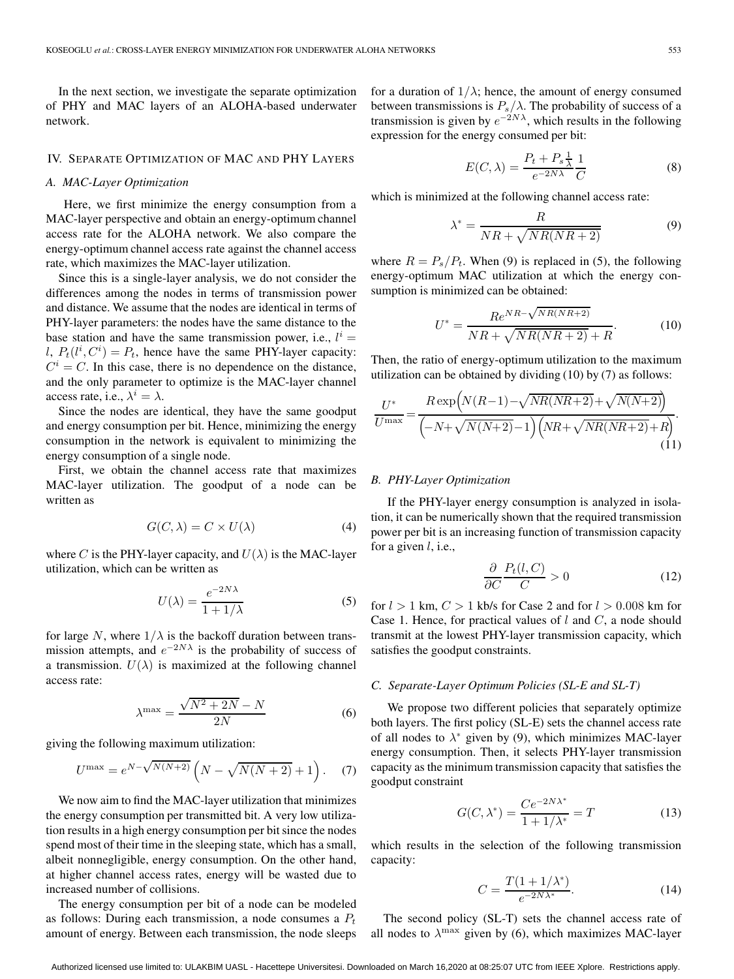In the next section, we investigate the separate optimization of PHY and MAC layers of an ALOHA-based underwater network.

#### IV. SEPARATE OPTIMIZATION OF MAC AND PHY LAYERS

# *A. MAC-Layer Optimization*

Here, we first minimize the energy consumption from a MAC-layer perspective and obtain an energy-optimum channel access rate for the ALOHA network. We also compare the energy-optimum channel access rate against the channel access rate, which maximizes the MAC-layer utilization.

Since this is a single-layer analysis, we do not consider the differences among the nodes in terms of transmission power and distance. We assume that the nodes are identical in terms of PHY-layer parameters: the nodes have the same distance to the base station and have the same transmission power, i.e.,  $l^i =$ l,  $P_t(l^i, C^i) = P_t$ , hence have the same PHY-layer capacity:  $C^i = C$ . In this case, there is no dependence on the distance, and the only parameter to optimize is the MAC-layer channel access rate, i.e.,  $\lambda^i = \lambda$ .

Since the nodes are identical, they have the same goodput and energy consumption per bit. Hence, minimizing the energy consumption in the network is equivalent to minimizing the energy consumption of a single node.

First, we obtain the channel access rate that maximizes MAC-layer utilization. The goodput of a node can be written as

$$
G(C, \lambda) = C \times U(\lambda)
$$
 (4)

where C is the PHY-layer capacity, and  $U(\lambda)$  is the MAC-layer utilization, which can be written as

$$
U(\lambda) = \frac{e^{-2N\lambda}}{1 + 1/\lambda} \tag{5}
$$

for large N, where  $1/\lambda$  is the backoff duration between transmission attempts, and  $e^{-2N\lambda}$  is the probability of success of a transmission.  $U(\lambda)$  is maximized at the following channel access rate:

$$
\lambda^{\max} = \frac{\sqrt{N^2 + 2N} - N}{2N} \tag{6}
$$

giving the following maximum utilization:

$$
U^{\max} = e^{N - \sqrt{N(N+2)}} \left( N - \sqrt{N(N+2)} + 1 \right). \tag{7}
$$

We now aim to find the MAC-layer utilization that minimizes the energy consumption per transmitted bit. A very low utilization results in a high energy consumption per bit since the nodes spend most of their time in the sleeping state, which has a small, albeit nonnegligible, energy consumption. On the other hand, at higher channel access rates, energy will be wasted due to increased number of collisions.

The energy consumption per bit of a node can be modeled as follows: During each transmission, a node consumes a  $P_t$ amount of energy. Between each transmission, the node sleeps

for a duration of  $1/\lambda$ ; hence, the amount of energy consumed between transmissions is  $P_s/\lambda$ . The probability of success of a transmission is given by  $e^{-2N\lambda}$ , which results in the following expression for the energy consumed per bit:

$$
E(C,\lambda) = \frac{P_t + P_s \frac{1}{\lambda}}{e^{-2N\lambda}} \frac{1}{C}
$$
 (8)

which is minimized at the following channel access rate:

$$
\lambda^* = \frac{R}{NR + \sqrt{NR(NR + 2)}}\tag{9}
$$

where  $R = P_s/P_t$ . When (9) is replaced in (5), the following energy-optimum MAC utilization at which the energy consumption is minimized can be obtained:

$$
U^* = \frac{Re^{NR} - \sqrt{NR(NR+2)}}{NR + \sqrt{NR(NR+2)} + R}.
$$
 (10)

Then, the ratio of energy-optimum utilization to the maximum utilization can be obtained by dividing (10) by (7) as follows:

$$
\frac{U^*}{U^{\max}} = \frac{R \exp\left(N(R-1) - \sqrt{NR(NR+2)} + \sqrt{N(N+2)}\right)}{\left(-N + \sqrt{N(N+2)} - 1\right)\left(NR + \sqrt{NR(NR+2)} + R\right)}.\tag{11}
$$

#### *B. PHY-Layer Optimization*

If the PHY-layer energy consumption is analyzed in isolation, it can be numerically shown that the required transmission power per bit is an increasing function of transmission capacity for a given  $l$ , i.e.,

$$
\frac{\partial}{\partial C} \frac{P_t(l, C)}{C} > 0 \tag{12}
$$

for  $l > 1$  km,  $C > 1$  kb/s for Case 2 and for  $l > 0.008$  km for Case 1. Hence, for practical values of  $l$  and  $C$ , a node should transmit at the lowest PHY-layer transmission capacity, which satisfies the goodput constraints.

## *C. Separate-Layer Optimum Policies (SL-E and SL-T)*

We propose two different policies that separately optimize both layers. The first policy (SL-E) sets the channel access rate of all nodes to  $\lambda^*$  given by (9), which minimizes MAC-layer energy consumption. Then, it selects PHY-layer transmission capacity as the minimum transmission capacity that satisfies the goodput constraint

$$
G(C, \lambda^*) = \frac{Ce^{-2N\lambda^*}}{1 + 1/\lambda^*} = T
$$
\n(13)

which results in the selection of the following transmission capacity:

$$
C = \frac{T(1 + 1/\lambda^*)}{e^{-2N\lambda^*}}.\tag{14}
$$

The second policy (SL-T) sets the channel access rate of all nodes to  $\lambda^{\max}$  given by (6), which maximizes MAC-layer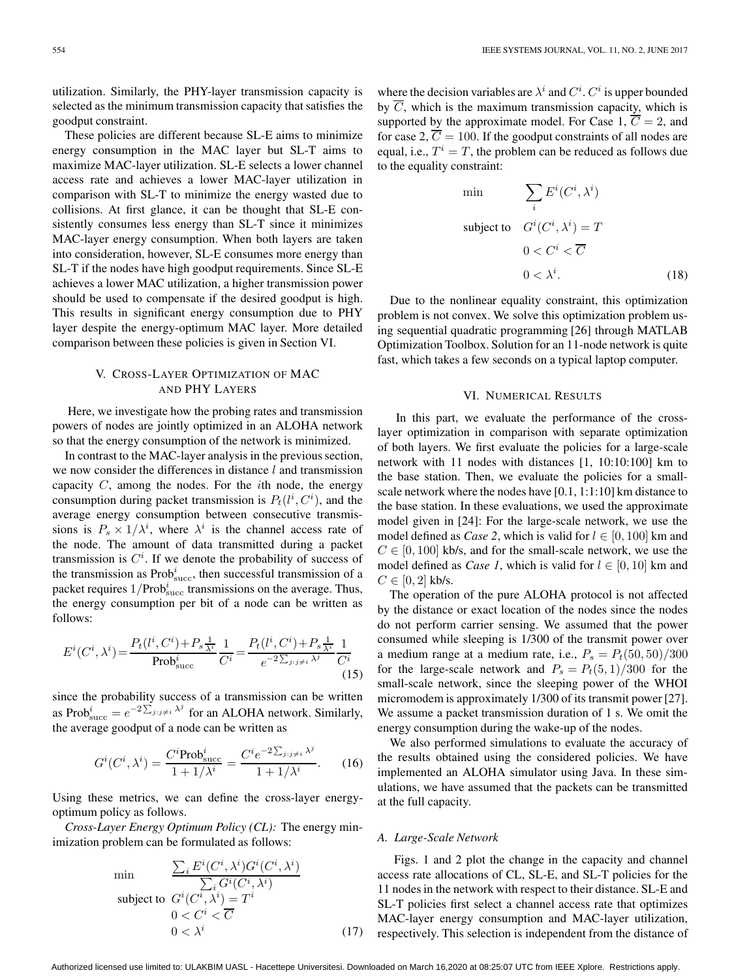utilization. Similarly, the PHY-layer transmission capacity is selected as the minimum transmission capacity that satisfies the goodput constraint.

These policies are different because SL-E aims to minimize energy consumption in the MAC layer but SL-T aims to maximize MAC-layer utilization. SL-E selects a lower channel access rate and achieves a lower MAC-layer utilization in comparison with SL-T to minimize the energy wasted due to collisions. At first glance, it can be thought that SL-E consistently consumes less energy than SL-T since it minimizes MAC-layer energy consumption. When both layers are taken into consideration, however, SL-E consumes more energy than SL-T if the nodes have high goodput requirements. Since SL-E achieves a lower MAC utilization, a higher transmission power should be used to compensate if the desired goodput is high. This results in significant energy consumption due to PHY layer despite the energy-optimum MAC layer. More detailed comparison between these policies is given in Section VI.

# V. CROSS-LAYER OPTIMIZATION OF MAC AND PHY LAYERS

Here, we investigate how the probing rates and transmission powers of nodes are jointly optimized in an ALOHA network so that the energy consumption of the network is minimized.

In contrast to the MAC-layer analysis in the previous section, we now consider the differences in distance  $l$  and transmission capacity  $C$ , among the nodes. For the *i*th node, the energy consumption during packet transmission is  $P_t(l^i, C^i)$ , and the average energy consumption between consecutive transmissions is  $P_s \times 1/\lambda^i$ , where  $\lambda^i$  is the channel access rate of the node. The amount of data transmitted during a packet transmission is  $C<sup>i</sup>$ . If we denote the probability of success of the transmission as  $Prob<sub>succ</sub><sup>i</sup>$ , then successful transmission of a packet requires  $1/Prob_{\text{succ}}^i$  transmissions on the average. Thus, the energy consumption per bit of a node can be written as follows:

$$
E^{i}(C^{i}, \lambda^{i}) = \frac{P_{t}(l^{i}, C^{i}) + P_{s} \frac{1}{\lambda^{i}}}{\text{Prob}_{\text{succ}}^{i}} \frac{1}{C^{i}} = \frac{P_{t}(l^{i}, C^{i}) + P_{s} \frac{1}{\lambda^{i}}}{e^{-2\sum_{j:j\neq i} \lambda^{j}} C^{i}}
$$
(15)

since the probability success of a transmission can be written as Pro $b^i_{succ} = e^{-2\sum_{j:j\neq i}\lambda^j}$  for an ALOHA network. Similarly, the average goodput of a node can be written as

$$
G^{i}(C^{i},\lambda^{i}) = \frac{C^{i}\text{Prob}_{\text{succ}}^{i}}{1 + 1/\lambda^{i}} = \frac{C^{i}e^{-2\sum_{j:j\neq i}\lambda^{j}}}{1 + 1/\lambda^{i}}.
$$
 (16)

Using these metrics, we can define the cross-layer energyoptimum policy as follows.

*Cross-Layer Energy Optimum Policy (CL):* The energy minimization problem can be formulated as follows:

$$
\min \sum_{i} \frac{\sum_{i} E^{i}(C^{i}, \lambda^{i}) G^{i}(C^{i}, \lambda^{i})}{\sum_{i} G^{i}(C^{i}, \lambda^{i})}
$$
\n
$$
\text{subject to } G^{i}(C^{i}, \lambda^{i}) = T^{i}
$$
\n
$$
0 < C^{i} < \overline{C}
$$
\n
$$
0 < \lambda^{i} \tag{17}
$$

where the decision variables are  $\lambda^i$  and  $C^i$ .  $C^i$  is upper bounded by  $\overline{C}$ , which is the maximum transmission capacity, which is supported by the approximate model. For Case 1,  $\overline{C} = 2$ , and for case 2,  $\overline{C} = 100$ . If the goodput constraints of all nodes are equal, i.e.,  $T^i = T$ , the problem can be reduced as follows due to the equality constraint:

$$
\min \qquad \sum_{i} E^{i}(C^{i}, \lambda^{i})
$$
\n
$$
\text{subject to} \quad G^{i}(C^{i}, \lambda^{i}) = T
$$
\n
$$
0 < C^{i} < \overline{C}
$$
\n
$$
0 < \lambda^{i}.\tag{18}
$$

Due to the nonlinear equality constraint, this optimization problem is not convex. We solve this optimization problem using sequential quadratic programming [26] through MATLAB Optimization Toolbox. Solution for an 11-node network is quite fast, which takes a few seconds on a typical laptop computer.

## VI. NUMERICAL RESULTS

In this part, we evaluate the performance of the crosslayer optimization in comparison with separate optimization of both layers. We first evaluate the policies for a large-scale network with 11 nodes with distances [1, 10:10:100] km to the base station. Then, we evaluate the policies for a smallscale network where the nodes have [0.1, 1:1:10] km distance to the base station. In these evaluations, we used the approximate model given in [24]: For the large-scale network, we use the model defined as *Case 2*, which is valid for  $l \in [0, 100]$  km and  $C \in [0, 100]$  kb/s, and for the small-scale network, we use the model defined as *Case 1*, which is valid for  $l \in [0, 10]$  km and  $C \in [0, 2]$  kb/s.

The operation of the pure ALOHA protocol is not affected by the distance or exact location of the nodes since the nodes do not perform carrier sensing. We assumed that the power consumed while sleeping is 1/300 of the transmit power over a medium range at a medium rate, i.e.,  $P_s = P_t(50, 50)/300$ for the large-scale network and  $P_s = P_t(5, 1)/300$  for the small-scale network, since the sleeping power of the WHOI micromodem is approximately 1/300 of its transmit power [27]. We assume a packet transmission duration of 1 s. We omit the energy consumption during the wake-up of the nodes.

We also performed simulations to evaluate the accuracy of the results obtained using the considered policies. We have implemented an ALOHA simulator using Java. In these simulations, we have assumed that the packets can be transmitted at the full capacity.

#### *A. Large-Scale Network*

Figs. 1 and 2 plot the change in the capacity and channel access rate allocations of CL, SL-E, and SL-T policies for the 11 nodes in the network with respect to their distance. SL-E and SL-T policies first select a channel access rate that optimizes MAC-layer energy consumption and MAC-layer utilization, respectively. This selection is independent from the distance of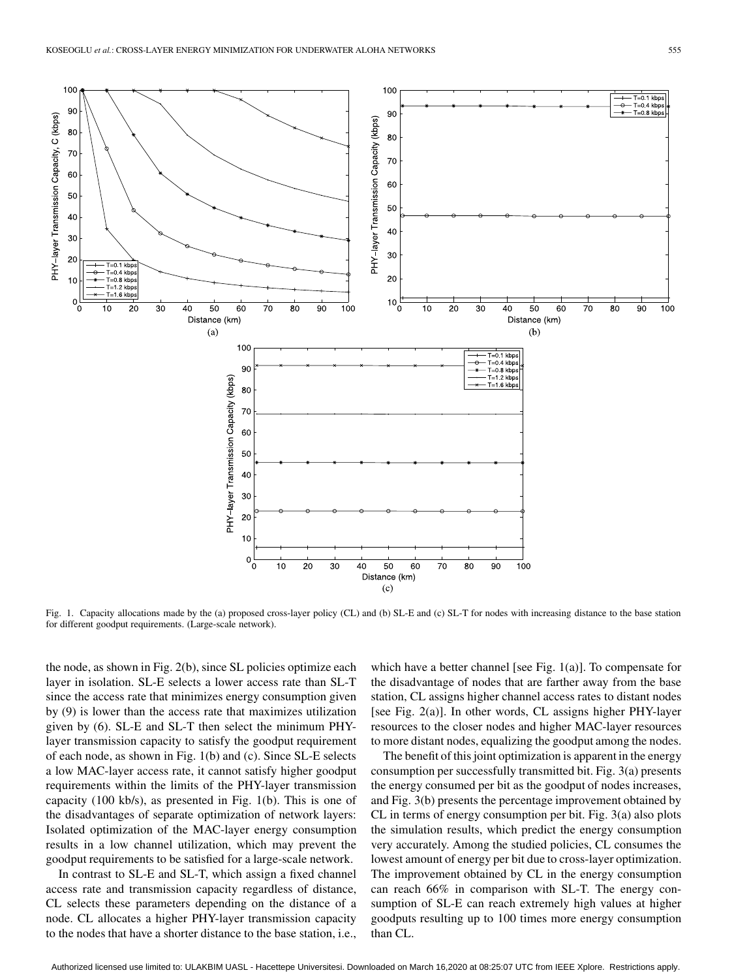

Fig. 1. Capacity allocations made by the (a) proposed cross-layer policy (CL) and (b) SL-E and (c) SL-T for nodes with increasing distance to the base station for different goodput requirements. (Large-scale network).

the node, as shown in Fig. 2(b), since SL policies optimize each layer in isolation. SL-E selects a lower access rate than SL-T since the access rate that minimizes energy consumption given by (9) is lower than the access rate that maximizes utilization given by (6). SL-E and SL-T then select the minimum PHYlayer transmission capacity to satisfy the goodput requirement of each node, as shown in Fig. 1(b) and (c). Since SL-E selects a low MAC-layer access rate, it cannot satisfy higher goodput requirements within the limits of the PHY-layer transmission capacity (100 kb/s), as presented in Fig. 1(b). This is one of the disadvantages of separate optimization of network layers: Isolated optimization of the MAC-layer energy consumption results in a low channel utilization, which may prevent the goodput requirements to be satisfied for a large-scale network.

In contrast to SL-E and SL-T, which assign a fixed channel access rate and transmission capacity regardless of distance, CL selects these parameters depending on the distance of a node. CL allocates a higher PHY-layer transmission capacity to the nodes that have a shorter distance to the base station, i.e.,

which have a better channel [see Fig. 1(a)]. To compensate for the disadvantage of nodes that are farther away from the base station, CL assigns higher channel access rates to distant nodes [see Fig. 2(a)]. In other words, CL assigns higher PHY-layer resources to the closer nodes and higher MAC-layer resources to more distant nodes, equalizing the goodput among the nodes.

The benefit of this joint optimization is apparent in the energy consumption per successfully transmitted bit. Fig. 3(a) presents the energy consumed per bit as the goodput of nodes increases, and Fig. 3(b) presents the percentage improvement obtained by CL in terms of energy consumption per bit. Fig. 3(a) also plots the simulation results, which predict the energy consumption very accurately. Among the studied policies, CL consumes the lowest amount of energy per bit due to cross-layer optimization. The improvement obtained by CL in the energy consumption can reach 66% in comparison with SL-T. The energy consumption of SL-E can reach extremely high values at higher goodputs resulting up to 100 times more energy consumption than CL.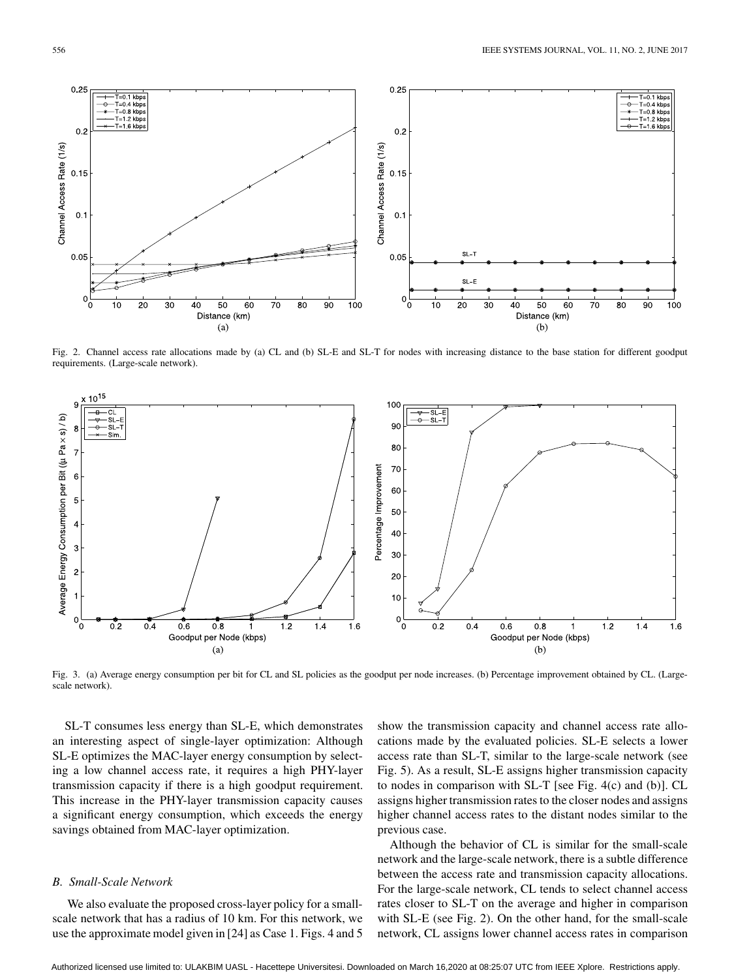

Fig. 2. Channel access rate allocations made by (a) CL and (b) SL-E and SL-T for nodes with increasing distance to the base station for different goodput requirements. (Large-scale network).



Fig. 3. (a) Average energy consumption per bit for CL and SL policies as the goodput per node increases. (b) Percentage improvement obtained by CL. (Largescale network).

SL-T consumes less energy than SL-E, which demonstrates an interesting aspect of single-layer optimization: Although SL-E optimizes the MAC-layer energy consumption by selecting a low channel access rate, it requires a high PHY-layer transmission capacity if there is a high goodput requirement. This increase in the PHY-layer transmission capacity causes a significant energy consumption, which exceeds the energy savings obtained from MAC-layer optimization.

## *B. Small-Scale Network*

We also evaluate the proposed cross-layer policy for a smallscale network that has a radius of 10 km. For this network, we use the approximate model given in [24] as Case 1. Figs. 4 and 5

show the transmission capacity and channel access rate allocations made by the evaluated policies. SL-E selects a lower access rate than SL-T, similar to the large-scale network (see Fig. 5). As a result, SL-E assigns higher transmission capacity to nodes in comparison with SL-T [see Fig. 4(c) and (b)]. CL assigns higher transmission rates to the closer nodes and assigns higher channel access rates to the distant nodes similar to the previous case.

Although the behavior of CL is similar for the small-scale network and the large-scale network, there is a subtle difference between the access rate and transmission capacity allocations. For the large-scale network, CL tends to select channel access rates closer to SL-T on the average and higher in comparison with SL-E (see Fig. 2). On the other hand, for the small-scale network, CL assigns lower channel access rates in comparison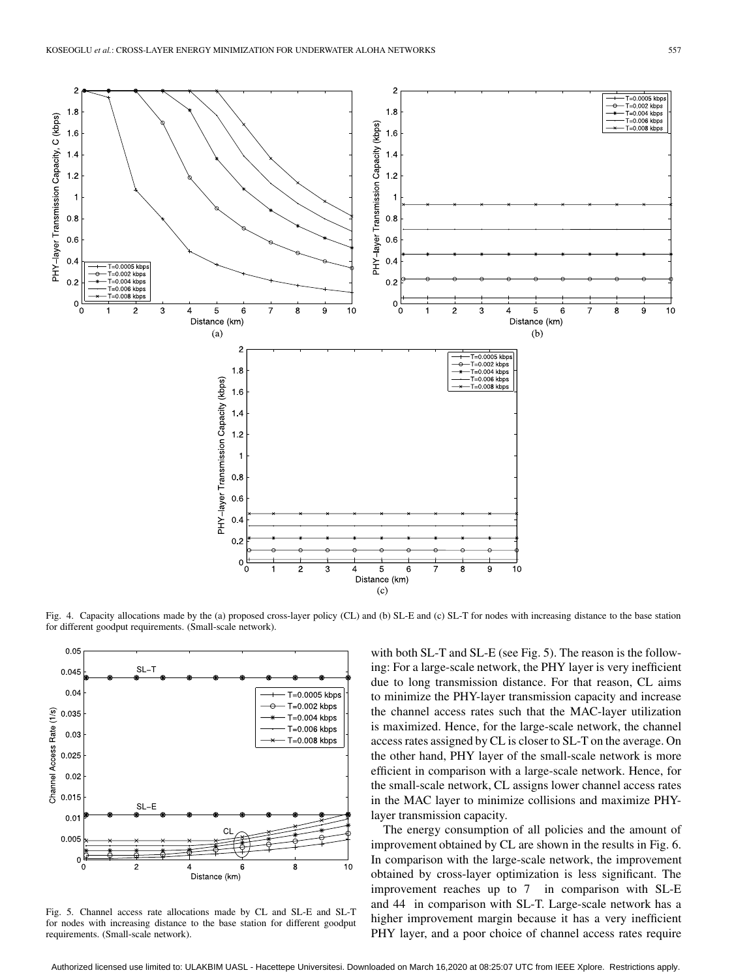

Fig. 4. Capacity allocations made by the (a) proposed cross-layer policy (CL) and (b) SL-E and (c) SL-T for nodes with increasing distance to the base station for different goodput requirements. (Small-scale network).



Fig. 5. Channel access rate allocations made by CL and SL-E and SL-T for nodes with increasing distance to the base station for different goodput requirements. (Small-scale network).

with both SL-T and SL-E (see Fig. 5). The reason is the following: For a large-scale network, the PHY layer is very inefficient due to long transmission distance. For that reason, CL aims to minimize the PHY-layer transmission capacity and increase the channel access rates such that the MAC-layer utilization is maximized. Hence, for the large-scale network, the channel access rates assigned by CL is closer to SL-T on the average. On the other hand, PHY layer of the small-scale network is more efficient in comparison with a large-scale network. Hence, for the small-scale network, CL assigns lower channel access rates in the MAC layer to minimize collisions and maximize PHYlayer transmission capacity.

The energy consumption of all policies and the amount of improvement obtained by CL are shown in the results in Fig. 6. In comparison with the large-scale network, the improvement obtained by cross-layer optimization is less significant. The improvement reaches up to 7 in comparison with SL-E and 44 in comparison with SL-T. Large-scale network has a higher improvement margin because it has a very inefficient PHY layer, and a poor choice of channel access rates require

Authorized licensed use limited to: ULAKBIM UASL - Hacettepe Universitesi. Downloaded on March 16,2020 at 08:25:07 UTC from IEEE Xplore. Restrictions apply.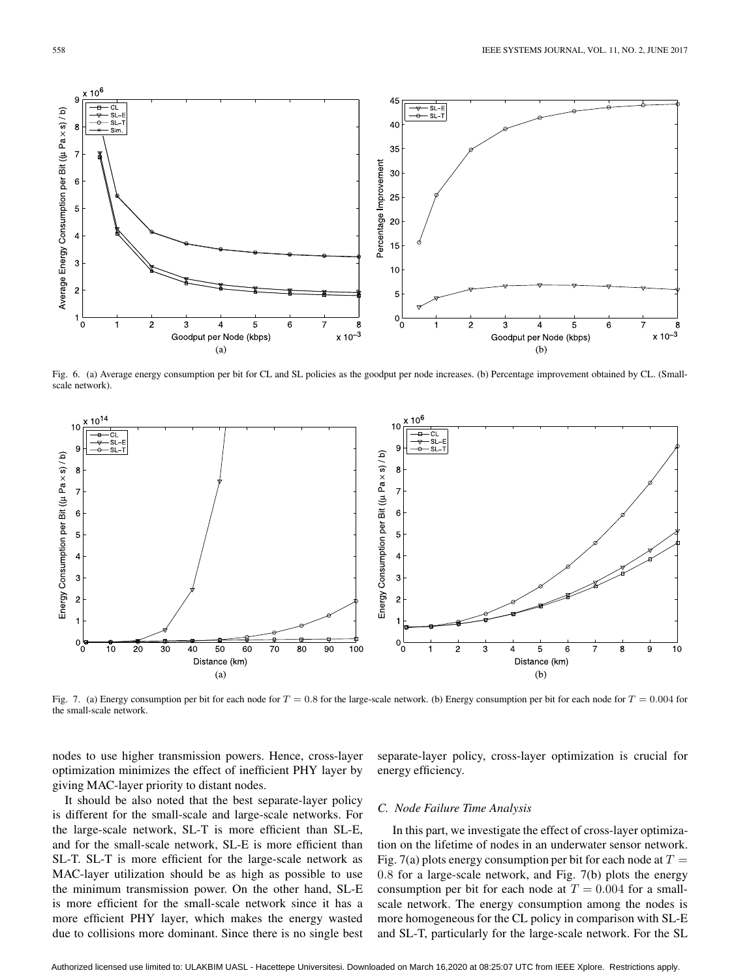

Fig. 6. (a) Average energy consumption per bit for CL and SL policies as the goodput per node increases. (b) Percentage improvement obtained by CL. (Smallscale network).



Fig. 7. (a) Energy consumption per bit for each node for  $T = 0.8$  for the large-scale network. (b) Energy consumption per bit for each node for  $T = 0.004$  for the small-scale network.

nodes to use higher transmission powers. Hence, cross-layer optimization minimizes the effect of inefficient PHY layer by giving MAC-layer priority to distant nodes.

separate-layer policy, cross-layer optimization is crucial for energy efficiency.

It should be also noted that the best separate-layer policy is different for the small-scale and large-scale networks. For the large-scale network, SL-T is more efficient than SL-E, and for the small-scale network, SL-E is more efficient than SL-T. SL-T is more efficient for the large-scale network as MAC-layer utilization should be as high as possible to use the minimum transmission power. On the other hand, SL-E is more efficient for the small-scale network since it has a more efficient PHY layer, which makes the energy wasted due to collisions more dominant. Since there is no single best

## *C. Node Failure Time Analysis*

In this part, we investigate the effect of cross-layer optimization on the lifetime of nodes in an underwater sensor network. Fig. 7(a) plots energy consumption per bit for each node at  $T =$ 0.8 for a large-scale network, and Fig. 7(b) plots the energy consumption per bit for each node at  $T = 0.004$  for a smallscale network. The energy consumption among the nodes is more homogeneous for the CL policy in comparison with SL-E and SL-T, particularly for the large-scale network. For the SL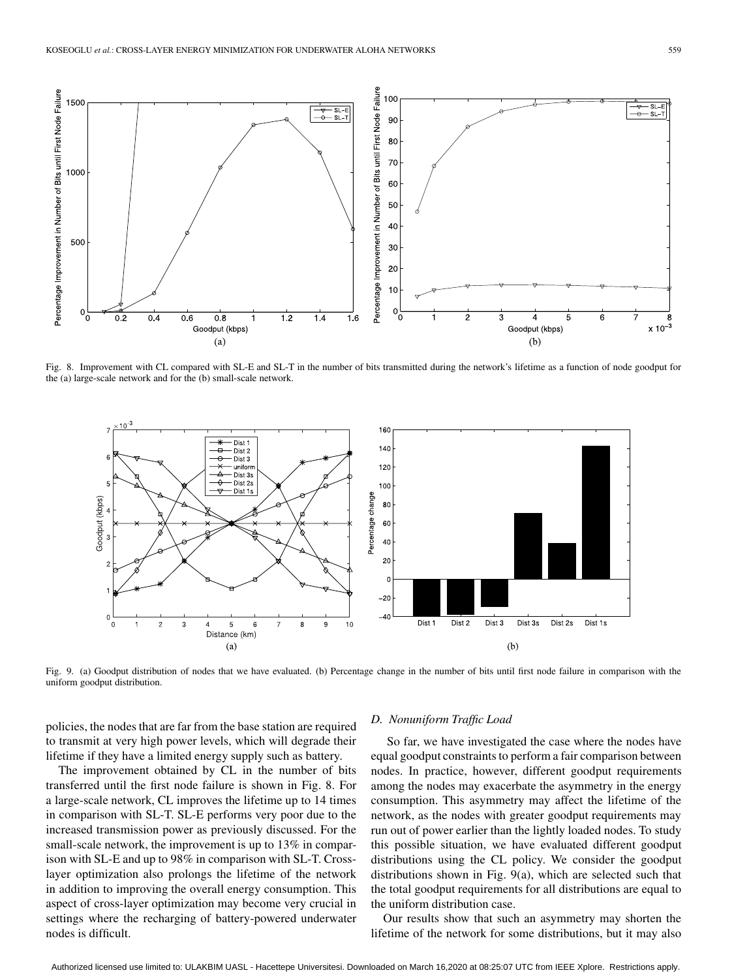

Fig. 8. Improvement with CL compared with SL-E and SL-T in the number of bits transmitted during the network's lifetime as a function of node goodput for the (a) large-scale network and for the (b) small-scale network.



Fig. 9. (a) Goodput distribution of nodes that we have evaluated. (b) Percentage change in the number of bits until first node failure in comparison with the uniform goodput distribution.

policies, the nodes that are far from the base station are required to transmit at very high power levels, which will degrade their lifetime if they have a limited energy supply such as battery.

The improvement obtained by CL in the number of bits transferred until the first node failure is shown in Fig. 8. For a large-scale network, CL improves the lifetime up to 14 times in comparison with SL-T. SL-E performs very poor due to the increased transmission power as previously discussed. For the small-scale network, the improvement is up to 13% in comparison with SL-E and up to 98% in comparison with SL-T. Crosslayer optimization also prolongs the lifetime of the network in addition to improving the overall energy consumption. This aspect of cross-layer optimization may become very crucial in settings where the recharging of battery-powered underwater nodes is difficult.

## *D. Nonuniform Traffic Load*

So far, we have investigated the case where the nodes have equal goodput constraints to perform a fair comparison between nodes. In practice, however, different goodput requirements among the nodes may exacerbate the asymmetry in the energy consumption. This asymmetry may affect the lifetime of the network, as the nodes with greater goodput requirements may run out of power earlier than the lightly loaded nodes. To study this possible situation, we have evaluated different goodput distributions using the CL policy. We consider the goodput distributions shown in Fig. 9(a), which are selected such that the total goodput requirements for all distributions are equal to the uniform distribution case.

Our results show that such an asymmetry may shorten the lifetime of the network for some distributions, but it may also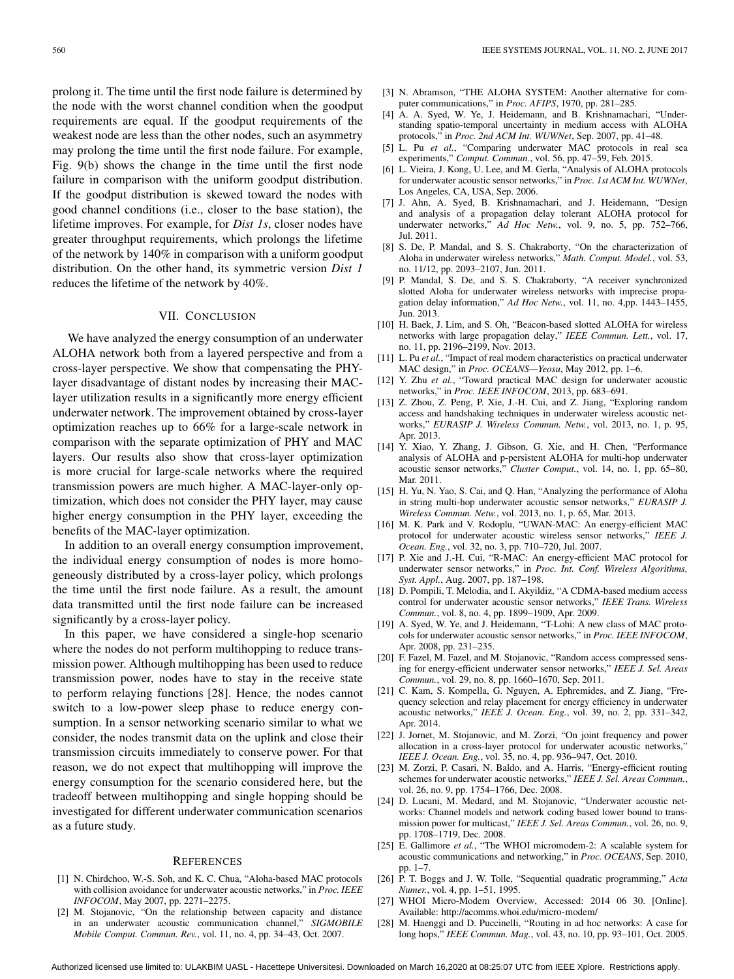prolong it. The time until the first node failure is determined by the node with the worst channel condition when the goodput requirements are equal. If the goodput requirements of the weakest node are less than the other nodes, such an asymmetry may prolong the time until the first node failure. For example, Fig. 9(b) shows the change in the time until the first node failure in comparison with the uniform goodput distribution. If the goodput distribution is skewed toward the nodes with good channel conditions (i.e., closer to the base station), the lifetime improves. For example, for *Dist 1s*, closer nodes have greater throughput requirements, which prolongs the lifetime of the network by 140% in comparison with a uniform goodput distribution. On the other hand, its symmetric version *Dist 1* reduces the lifetime of the network by 40%.

# VII. CONCLUSION

We have analyzed the energy consumption of an underwater ALOHA network both from a layered perspective and from a cross-layer perspective. We show that compensating the PHYlayer disadvantage of distant nodes by increasing their MAClayer utilization results in a significantly more energy efficient underwater network. The improvement obtained by cross-layer optimization reaches up to 66% for a large-scale network in comparison with the separate optimization of PHY and MAC layers. Our results also show that cross-layer optimization is more crucial for large-scale networks where the required transmission powers are much higher. A MAC-layer-only optimization, which does not consider the PHY layer, may cause higher energy consumption in the PHY layer, exceeding the benefits of the MAC-layer optimization.

In addition to an overall energy consumption improvement, the individual energy consumption of nodes is more homogeneously distributed by a cross-layer policy, which prolongs the time until the first node failure. As a result, the amount data transmitted until the first node failure can be increased significantly by a cross-layer policy.

In this paper, we have considered a single-hop scenario where the nodes do not perform multihopping to reduce transmission power. Although multihopping has been used to reduce transmission power, nodes have to stay in the receive state to perform relaying functions [28]. Hence, the nodes cannot switch to a low-power sleep phase to reduce energy consumption. In a sensor networking scenario similar to what we consider, the nodes transmit data on the uplink and close their transmission circuits immediately to conserve power. For that reason, we do not expect that multihopping will improve the energy consumption for the scenario considered here, but the tradeoff between multihopping and single hopping should be investigated for different underwater communication scenarios as a future study.

### **REFERENCES**

- [1] N. Chirdchoo, W.-S. Soh, and K. C. Chua, "Aloha-based MAC protocols with collision avoidance for underwater acoustic networks," in *Proc. IEEE INFOCOM*, May 2007, pp. 2271–2275.
- [2] M. Stojanovic, "On the relationship between capacity and distance in an underwater acoustic communication channel," *SIGMOBILE Mobile Comput. Commun. Rev.*, vol. 11, no. 4, pp. 34–43, Oct. 2007.
- [3] N. Abramson, "THE ALOHA SYSTEM: Another alternative for computer communications," in *Proc. AFIPS*, 1970, pp. 281–285.
- [4] A. A. Syed, W. Ye, J. Heidemann, and B. Krishnamachari, "Understanding spatio-temporal uncertainty in medium access with ALOHA protocols," in *Proc. 2nd ACM Int. WUWNet*, Sep. 2007, pp. 41–48.
- [5] L. Pu *et al.*, "Comparing underwater MAC protocols in real sea experiments," *Comput. Commun.*, vol. 56, pp. 47–59, Feb. 2015.
- [6] L. Vieira, J. Kong, U. Lee, and M. Gerla, "Analysis of ALOHA protocols for underwater acoustic sensor networks," in *Proc. 1st ACM Int. WUWNet*, Los Angeles, CA, USA, Sep. 2006.
- [7] J. Ahn, A. Syed, B. Krishnamachari, and J. Heidemann, "Design and analysis of a propagation delay tolerant ALOHA protocol for underwater networks," *Ad Hoc Netw.*, vol. 9, no. 5, pp. 752–766, Jul. 2011.
- [8] S. De, P. Mandal, and S. S. Chakraborty, "On the characterization of Aloha in underwater wireless networks," *Math. Comput. Model.*, vol. 53, no. 11/12, pp. 2093–2107, Jun. 2011.
- [9] P. Mandal, S. De, and S. S. Chakraborty, "A receiver synchronized slotted Aloha for underwater wireless networks with imprecise propagation delay information," *Ad Hoc Netw.*, vol. 11, no. 4,pp. 1443–1455, Jun. 2013.
- [10] H. Baek, J. Lim, and S. Oh, "Beacon-based slotted ALOHA for wireless networks with large propagation delay," *IEEE Commun. Lett.*, vol. 17, no. 11, pp. 2196–2199, Nov. 2013.
- [11] L. Pu *et al.*, "Impact of real modem characteristics on practical underwater MAC design," in *Proc. OCEANS—Yeosu*, May 2012, pp. 1–6.
- [12] Y. Zhu *et al.*, "Toward practical MAC design for underwater acoustic networks," in *Proc. IEEE INFOCOM*, 2013, pp. 683–691.
- [13] Z. Zhou, Z. Peng, P. Xie, J.-H. Cui, and Z. Jiang, "Exploring random access and handshaking techniques in underwater wireless acoustic networks," *EURASIP J. Wireless Commun. Netw.*, vol. 2013, no. 1, p. 95, Apr. 2013.
- [14] Y. Xiao, Y. Zhang, J. Gibson, G. Xie, and H. Chen, "Performance analysis of ALOHA and p-persistent ALOHA for multi-hop underwater acoustic sensor networks," *Cluster Comput.*, vol. 14, no. 1, pp. 65–80, Mar. 2011.
- [15] H. Yu, N. Yao, S. Cai, and Q. Han, "Analyzing the performance of Aloha in string multi-hop underwater acoustic sensor networks," *EURASIP J. Wireless Commun. Netw.*, vol. 2013, no. 1, p. 65, Mar. 2013.
- [16] M. K. Park and V. Rodoplu, "UWAN-MAC: An energy-efficient MAC protocol for underwater acoustic wireless sensor networks," *IEEE J. Ocean. Eng.*, vol. 32, no. 3, pp. 710–720, Jul. 2007.
- [17] P. Xie and J.-H. Cui, "R-MAC: An energy-efficient MAC protocol for underwater sensor networks," in *Proc. Int. Conf. Wireless Algorithms, Syst. Appl.*, Aug. 2007, pp. 187–198.
- [18] D. Pompili, T. Melodia, and I. Akyildiz, "A CDMA-based medium access control for underwater acoustic sensor networks," *IEEE Trans. Wireless Commun.*, vol. 8, no. 4, pp. 1899–1909, Apr. 2009.
- [19] A. Syed, W. Ye, and J. Heidemann, "T-Lohi: A new class of MAC protocols for underwater acoustic sensor networks," in *Proc. IEEE INFOCOM*, Apr. 2008, pp. 231–235.
- [20] F. Fazel, M. Fazel, and M. Stojanovic, "Random access compressed sensing for energy-efficient underwater sensor networks," *IEEE J. Sel. Areas Commun.*, vol. 29, no. 8, pp. 1660–1670, Sep. 2011.
- [21] C. Kam, S. Kompella, G. Nguyen, A. Ephremides, and Z. Jiang, "Frequency selection and relay placement for energy efficiency in underwater acoustic networks," *IEEE J. Ocean. Eng.*, vol. 39, no. 2, pp. 331–342, Apr. 2014.
- [22] J. Jornet, M. Stojanovic, and M. Zorzi, "On joint frequency and power allocation in a cross-layer protocol for underwater acoustic networks," *IEEE J. Ocean. Eng.*, vol. 35, no. 4, pp. 936–947, Oct. 2010.
- [23] M. Zorzi, P. Casari, N. Baldo, and A. Harris, "Energy-efficient routing schemes for underwater acoustic networks," *IEEE J. Sel. Areas Commun.*, vol. 26, no. 9, pp. 1754–1766, Dec. 2008.
- [24] D. Lucani, M. Medard, and M. Stojanovic, "Underwater acoustic networks: Channel models and network coding based lower bound to transmission power for multicast," *IEEE J. Sel. Areas Commun.*, vol. 26, no. 9, pp. 1708–1719, Dec. 2008.
- [25] E. Gallimore *et al.*, "The WHOI micromodem-2: A scalable system for acoustic communications and networking," in *Proc. OCEANS*, Sep. 2010, pp. 1–7.
- [26] P. T. Boggs and J. W. Tolle, "Sequential quadratic programming," *Acta Numer.*, vol. 4, pp. 1–51, 1995.
- [27] WHOI Micro-Modem Overview, Accessed: 2014 06 30. [Online]. Available: http://acomms.whoi.edu/micro-modem/
- [28] M. Haenggi and D. Puccinelli, "Routing in ad hoc networks: A case for long hops," *IEEE Commun. Mag.*, vol. 43, no. 10, pp. 93–101, Oct. 2005.